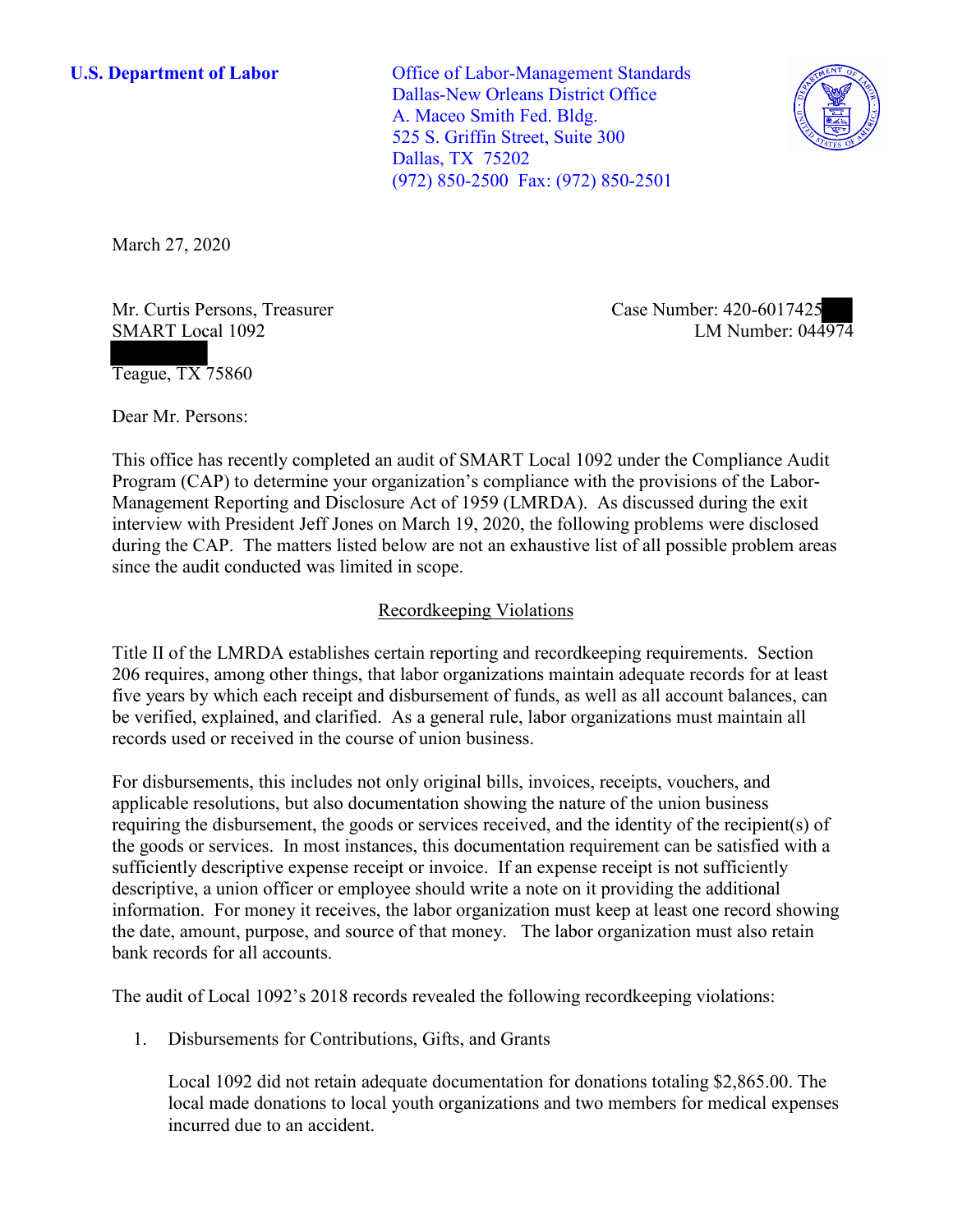**U.S. Department of Labor Office of Labor-Management Standards** Dallas-New Orleans District Office A. Maceo Smith Fed. Bldg. 525 S. Griffin Street, Suite 300 Dallas, TX 75202 (972) 850-2500 Fax: (972) 850-2501



March 27, 2020

Mr. Curtis Persons, Treasurer Case Number: 420-6017425 SMART Local 1092

LM Number:  $044974$ 

Teague, TX 75860

Dear Mr. Persons:

 This office has recently completed an audit of SMART Local 1092 under the Compliance Audit Program (CAP) to determine your organization's compliance with the provisions of the Labor-Management Reporting and Disclosure Act of 1959 (LMRDA). As discussed during the exit interview with President Jeff Jones on March 19, 2020, the following problems were disclosed during the CAP. The matters listed below are not an exhaustive list of all possible problem areas since the audit conducted was limited in scope.

## Recordkeeping Violations

 Title II of the LMRDA establishes certain reporting and recordkeeping requirements. Section 206 requires, among other things, that labor organizations maintain adequate records for at least five years by which each receipt and disbursement of funds, as well as all account balances, can be verified, explained, and clarified. As a general rule, labor organizations must maintain all records used or received in the course of union business.

For disbursements, this includes not only original bills, invoices, receipts, vouchers, and applicable resolutions, but also documentation showing the nature of the union business requiring the disbursement, the goods or services received, and the identity of the recipient(s) of the goods or services. In most instances, this documentation requirement can be satisfied with a sufficiently descriptive expense receipt or invoice. If an expense receipt is not sufficiently descriptive, a union officer or employee should write a note on it providing the additional information. For money it receives, the labor organization must keep at least one record showing the date, amount, purpose, and source of that money. The labor organization must also retain bank records for all accounts.

The audit of Local 1092's 2018 records revealed the following recordkeeping violations:

1. Disbursements for Contributions, Gifts, and Grants

Local 1092 did not retain adequate documentation for donations totaling \$[2,865.00.](https://2,865.00) The local made donations to local youth organizations and two members for medical expenses incurred due to an accident.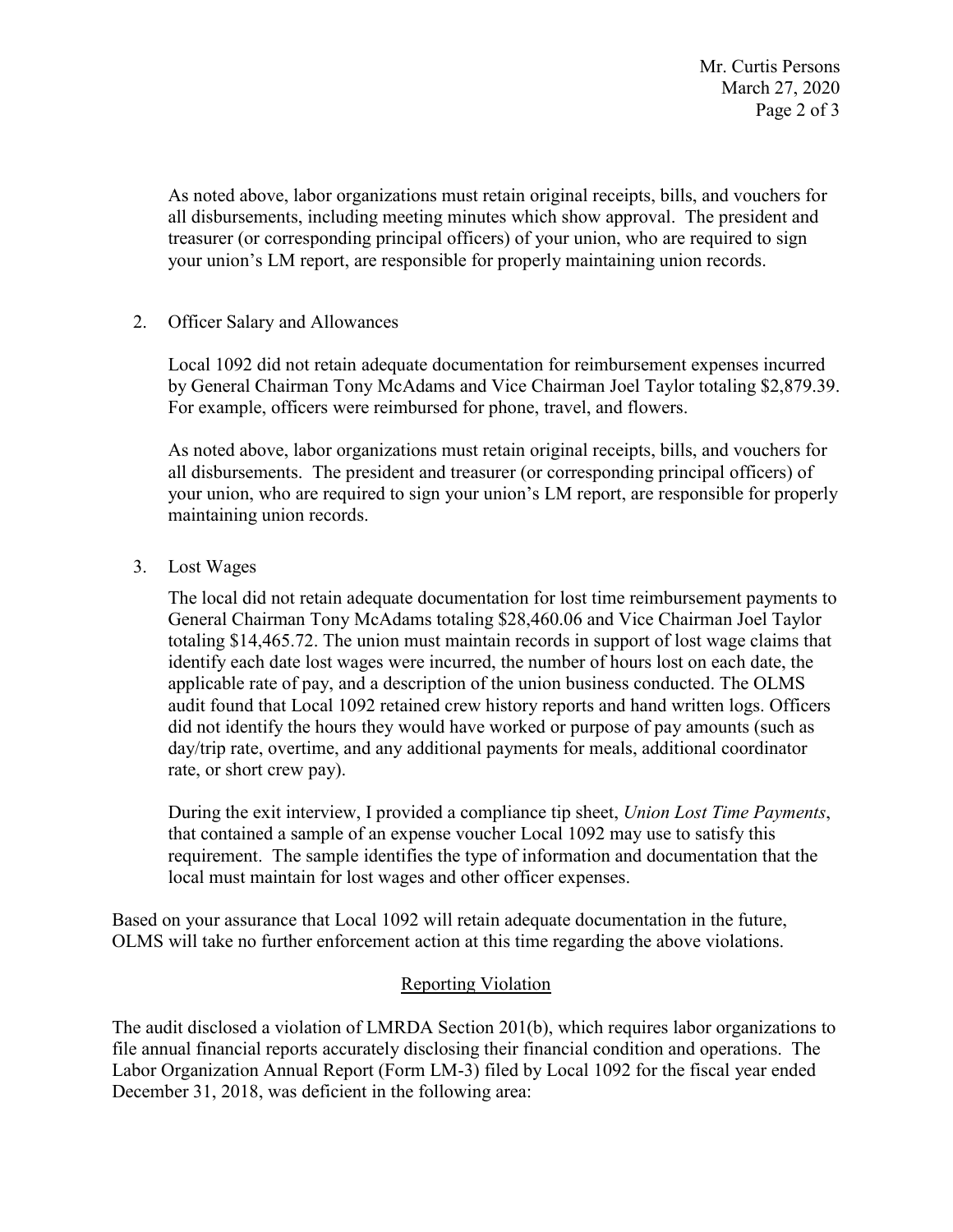Page 2 of 3 Mr. Curtis Persons March 27, 2020

 your union's LM report, are responsible for properly maintaining union records. As noted above, labor organizations must retain original receipts, bills, and vouchers for all disbursements, including meeting minutes which show approval. The president and treasurer (or corresponding principal officers) of your union, who are required to sign

## 2. Officer Salary and Allowances

For example, officers were reimbursed for phone, travel, and flowers. Local 1092 did not retain adequate documentation for reimbursement expenses incurred by General Chairman Tony McAdams and Vice Chairman Joel Taylor totaling \$[2,879.39.](https://2,879.39)

 all disbursements. The president and treasurer (or corresponding principal officers) of your union, who are required to sign your union's LM report, are responsible for properly As noted above, labor organizations must retain original receipts, bills, and vouchers for maintaining union records.

3. Lost Wages

 General Chairman Tony McAdams totaling [\\$28,460.06](https://28,460.06) and Vice Chairman Joel Taylor audit found that Local 1092 retained crew history reports and hand written logs. Officers rate, or short crew pay). The local did not retain adequate documentation for lost time reimbursement payments to totaling \$[14,465.72.](https://14,465.72) The union must maintain records in support of lost wage claims that identify each date lost wages were incurred, the number of hours lost on each date, the applicable rate of pay, and a description of the union business conducted. The OLMS did not identify the hours they would have worked or purpose of pay amounts (such as day/trip rate, overtime, and any additional payments for meals, additional coordinator

 that contained a sample of an expense voucher Local 1092 may use to satisfy this During the exit interview, I provided a compliance tip sheet, *Union Lost Time Payments*, requirement. The sample identifies the type of information and documentation that the local must maintain for lost wages and other officer expenses.

 Based on your assurance that Local 1092 will retain adequate documentation in the future, OLMS will take no further enforcement action at this time regarding the above violations.

## Reporting Violation

 Labor Organization Annual Report (Form LM-3) filed by Local 1092 for the fiscal year ended December 31, 2018, was deficient in the following area: The audit disclosed a violation of LMRDA Section 201(b), which requires labor organizations to file annual financial reports accurately disclosing their financial condition and operations. The